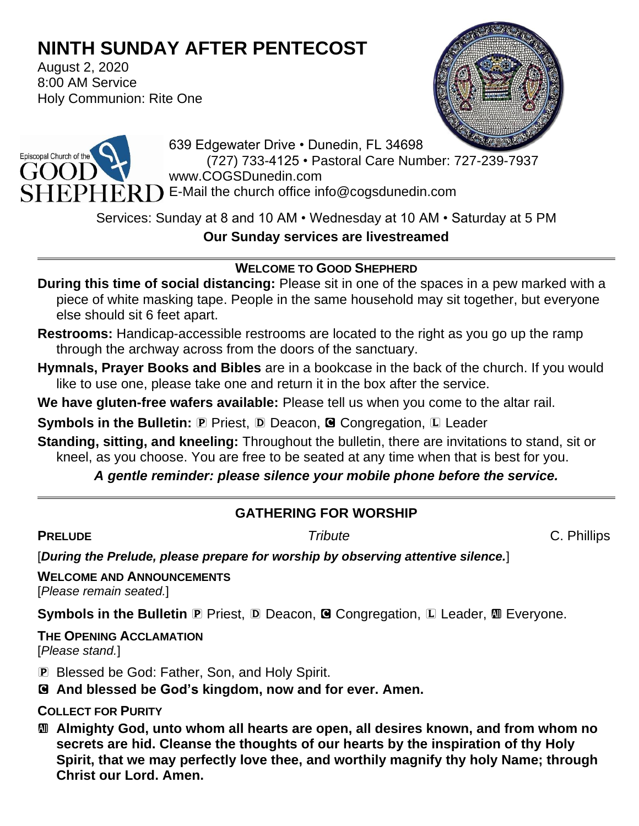# **NINTH SUNDAY AFTER PENTECOST**

August 2, 2020 8:00 AM Service Holy Communion: Rite One





639 Edgewater Drive • Dunedin, FL 34698 (727) 733-4125 • Pastoral Care Number: 727-239-7937 www.COGSDunedin.com E-Mail the church office info@cogsdunedin.com

Services: Sunday at 8 and 10 AM • Wednesday at 10 AM • Saturday at 5 PM

## **Our Sunday services are livestreamed**

## **WELCOME TO GOOD SHEPHERD**

- **During this time of social distancing:** Please sit in one of the spaces in a pew marked with a piece of white masking tape. People in the same household may sit together, but everyone else should sit 6 feet apart.
- **Restrooms:** Handicap-accessible restrooms are located to the right as you go up the ramp through the archway across from the doors of the sanctuary.
- **Hymnals, Prayer Books and Bibles** are in a bookcase in the back of the church. If you would like to use one, please take one and return it in the box after the service.

**We have gluten-free wafers available:** Please tell us when you come to the altar rail.

**Symbols in the Bulletin: P Priest, D Deacon, @ Congregation, L Leader** 

**Standing, sitting, and kneeling:** Throughout the bulletin, there are invitations to stand, sit or kneel, as you choose. You are free to be seated at any time when that is best for you.

## *A gentle reminder: please silence your mobile phone before the service.*

## **GATHERING FOR WORSHIP**

**PRELUDE** *Tribute* C. Phillips

[*During the Prelude, please prepare for worship by observing attentive silence.*]

## **WELCOME AND ANNOUNCEMENTS**

[*Please remain seated.*]

**Symbols in the Bulletin <b>P** Priest, **D** Deacon, **G** Congregation, **L** Leader, **M** Everyone.

**THE OPENING ACCLAMATION** [*Please stand.*]

- P Blessed be God: Father, Son, and Holy Spirit.
- C **And blessed be God's kingdom, now and for ever. Amen.**

## **COLLECT FOR PURITY**

a **Almighty God, unto whom all hearts are open, all desires known, and from whom no secrets are hid. Cleanse the thoughts of our hearts by the inspiration of thy Holy Spirit, that we may perfectly love thee, and worthily magnify thy holy Name; through Christ our Lord. Amen.**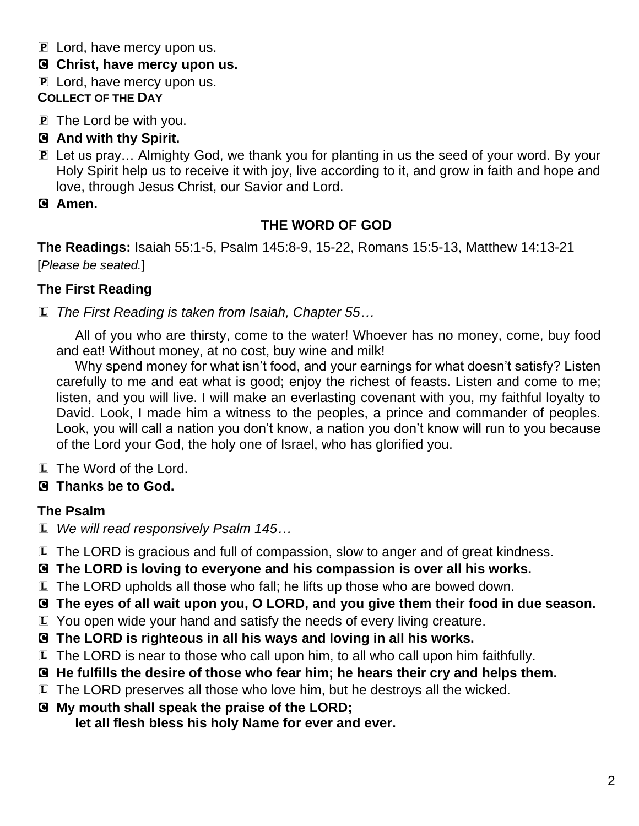- P Lord, have mercy upon us.
- C **Christ, have mercy upon us.**
- **P** Lord, have mercy upon us.

## **COLLECT OF THE DAY**

P The Lord be with you.

## C **And with thy Spirit.**

- P Let us pray… Almighty God, we thank you for planting in us the seed of your word. By your Holy Spirit help us to receive it with joy, live according to it, and grow in faith and hope and love, through Jesus Christ, our Savior and Lord.
- C **Amen.**

## **THE WORD OF GOD**

**The Readings:** Isaiah 55:1-5, Psalm 145:8-9, 15-22, Romans 15:5-13, Matthew 14:13-21 [*Please be seated.*]

## **The First Reading**

L *The First Reading is taken from Isaiah, Chapter 55…*

All of you who are thirsty, come to the water! Whoever has no money, come, buy food and eat! Without money, at no cost, buy wine and milk!

Why spend money for what isn't food, and your earnings for what doesn't satisfy? Listen carefully to me and eat what is good; enjoy the richest of feasts. Listen and come to me; listen, and you will live. I will make an everlasting covenant with you, my faithful loyalty to David. Look, I made him a witness to the peoples, a prince and commander of peoples. Look, you will call a nation you don't know, a nation you don't know will run to you because of the Lord your God, the holy one of Israel, who has glorified you.

L The Word of the Lord.

## C **Thanks be to God.**

## **The Psalm**

L *We will read responsively Psalm 145…*

- L The LORD is gracious and full of compassion, slow to anger and of great kindness.
- C **The LORD is loving to everyone and his compassion is over all his works.**
- L The LORD upholds all those who fall; he lifts up those who are bowed down.
- C **The eyes of all wait upon you, O LORD, and you give them their food in due season.**
- L You open wide your hand and satisfy the needs of every living creature.
- C **The LORD is righteous in all his ways and loving in all his works.**
- L The LORD is near to those who call upon him, to all who call upon him faithfully.
- C **He fulfills the desire of those who fear him; he hears their cry and helps them.**
- L The LORD preserves all those who love him, but he destroys all the wicked.
- C **My mouth shall speak the praise of the LORD;**

**let all flesh bless his holy Name for ever and ever.**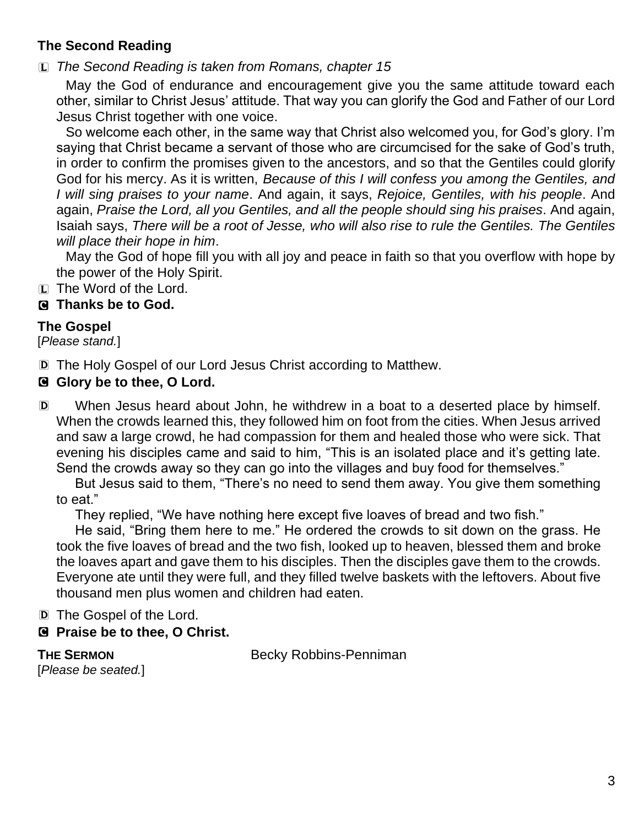## **The Second Reading**

L *The Second Reading is taken from Romans, chapter 15*

May the God of endurance and encouragement give you the same attitude toward each other, similar to Christ Jesus' attitude. That way you can glorify the God and Father of our Lord Jesus Christ together with one voice.

So welcome each other, in the same way that Christ also welcomed you, for God's glory. I'm saying that Christ became a servant of those who are circumcised for the sake of God's truth, in order to confirm the promises given to the ancestors, and so that the Gentiles could glorify God for his mercy. As it is written, *Because of this I will confess you among the Gentiles, and I will sing praises to your name*. And again, it says, *Rejoice, Gentiles, with his people*. And again, *Praise the Lord, all you Gentiles, and all the people should sing his praises*. And again, Isaiah says, *There will be a root of Jesse, who will also rise to rule the Gentiles. The Gentiles will place their hope in him*.

May the God of hope fill you with all joy and peace in faith so that you overflow with hope by the power of the Holy Spirit.

- L The Word of the Lord.
- C **Thanks be to God.**

## **The Gospel**

[*Please stand.*]

D The Holy Gospel of our Lord Jesus Christ according to Matthew.

- C **Glory be to thee, O Lord.**
- D When Jesus heard about John, he withdrew in a boat to a deserted place by himself. When the crowds learned this, they followed him on foot from the cities. When Jesus arrived and saw a large crowd, he had compassion for them and healed those who were sick. That evening his disciples came and said to him, "This is an isolated place and it's getting late. Send the crowds away so they can go into the villages and buy food for themselves."

But Jesus said to them, "There's no need to send them away. You give them something to eat."

They replied, "We have nothing here except five loaves of bread and two fish."

He said, "Bring them here to me." He ordered the crowds to sit down on the grass. He took the five loaves of bread and the two fish, looked up to heaven, blessed them and broke the loaves apart and gave them to his disciples. Then the disciples gave them to the crowds. Everyone ate until they were full, and they filled twelve baskets with the leftovers. About five thousand men plus women and children had eaten.

- D The Gospel of the Lord.
- C **Praise be to thee, O Christ.**

[*Please be seated.*]

**THE SERMON** Becky Robbins-Penniman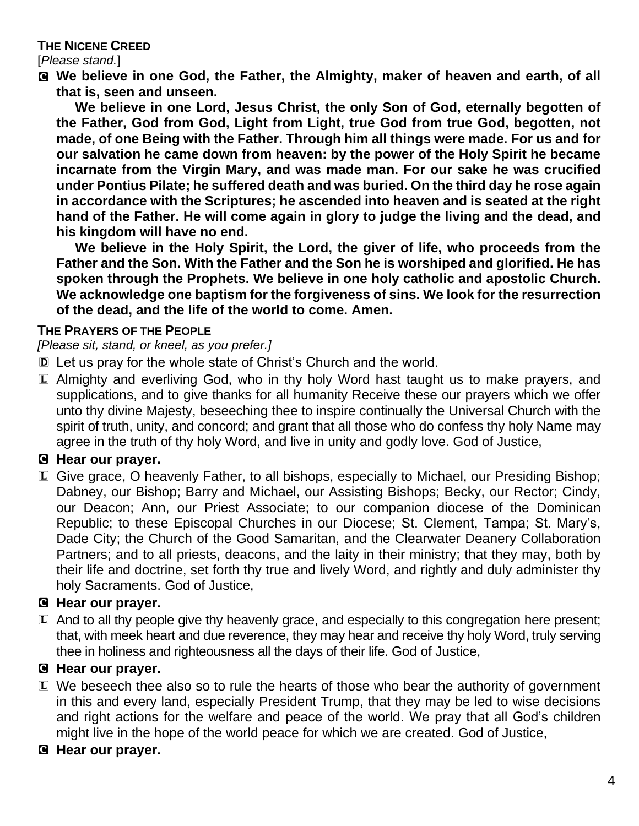#### **THE NICENE CREED**

#### [*Please stand.*]

C **We believe in one God, the Father, the Almighty, maker of heaven and earth, of all that is, seen and unseen.** 

**We believe in one Lord, Jesus Christ, the only Son of God, eternally begotten of the Father, God from God, Light from Light, true God from true God, begotten, not made, of one Being with the Father. Through him all things were made. For us and for our salvation he came down from heaven: by the power of the Holy Spirit he became incarnate from the Virgin Mary, and was made man. For our sake he was crucified under Pontius Pilate; he suffered death and was buried. On the third day he rose again in accordance with the Scriptures; he ascended into heaven and is seated at the right hand of the Father. He will come again in glory to judge the living and the dead, and his kingdom will have no end.**

**We believe in the Holy Spirit, the Lord, the giver of life, who proceeds from the Father and the Son. With the Father and the Son he is worshiped and glorified. He has spoken through the Prophets. We believe in one holy catholic and apostolic Church. We acknowledge one baptism for the forgiveness of sins. We look for the resurrection of the dead, and the life of the world to come. Amen.**

#### **THE PRAYERS OF THE PEOPLE**

#### *[Please sit, stand, or kneel, as you prefer.]*

- D Let us pray for the whole state of Christ's Church and the world.
- L Almighty and everliving God, who in thy holy Word hast taught us to make prayers, and supplications, and to give thanks for all humanity Receive these our prayers which we offer unto thy divine Majesty, beseeching thee to inspire continually the Universal Church with the spirit of truth, unity, and concord; and grant that all those who do confess thy holy Name may agree in the truth of thy holy Word, and live in unity and godly love. God of Justice,

### C **Hear our prayer.**

L Give grace, O heavenly Father, to all bishops, especially to Michael, our Presiding Bishop; Dabney, our Bishop; Barry and Michael, our Assisting Bishops; Becky, our Rector; Cindy, our Deacon; Ann, our Priest Associate; to our companion diocese of the Dominican Republic; to these Episcopal Churches in our Diocese; St. Clement, Tampa; St. Mary's, Dade City; the Church of the Good Samaritan, and the Clearwater Deanery Collaboration Partners; and to all priests, deacons, and the laity in their ministry; that they may, both by their life and doctrine, set forth thy true and lively Word, and rightly and duly administer thy holy Sacraments. God of Justice,

### C **Hear our prayer.**

L And to all thy people give thy heavenly grace, and especially to this congregation here present; that, with meek heart and due reverence, they may hear and receive thy holy Word, truly serving thee in holiness and righteousness all the days of their life. God of Justice,

### C **Hear our prayer.**

L We beseech thee also so to rule the hearts of those who bear the authority of government in this and every land, especially President Trump, that they may be led to wise decisions and right actions for the welfare and peace of the world. We pray that all God's children might live in the hope of the world peace for which we are created. God of Justice,

### C **Hear our prayer.**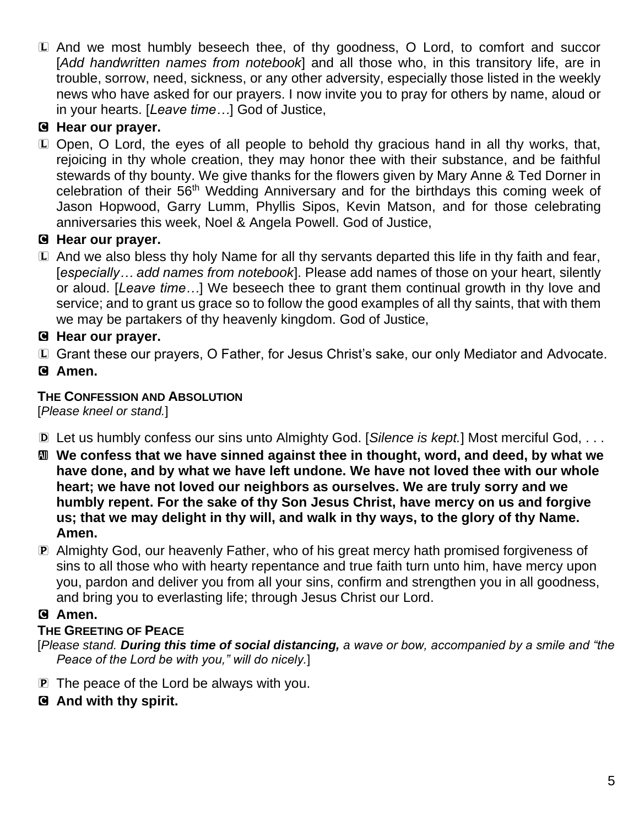L And we most humbly beseech thee, of thy goodness, O Lord, to comfort and succor [*Add handwritten names from notebook*] and all those who, in this transitory life, are in trouble, sorrow, need, sickness, or any other adversity, especially those listed in the weekly news who have asked for our prayers. I now invite you to pray for others by name, aloud or in your hearts. [*Leave time…*] God of Justice,

## C **Hear our prayer.**

L Open, O Lord, the eyes of all people to behold thy gracious hand in all thy works, that, rejoicing in thy whole creation, they may honor thee with their substance, and be faithful stewards of thy bounty. We give thanks for the flowers given by Mary Anne & Ted Dorner in celebration of their 56<sup>th</sup> Wedding Anniversary and for the birthdays this coming week of Jason Hopwood, Garry Lumm, Phyllis Sipos, Kevin Matson, and for those celebrating anniversaries this week, Noel & Angela Powell. God of Justice,

## C **Hear our prayer.**

L And we also bless thy holy Name for all thy servants departed this life in thy faith and fear, [*especially… add names from notebook*]. Please add names of those on your heart, silently or aloud. [*Leave time…*] We beseech thee to grant them continual growth in thy love and service; and to grant us grace so to follow the good examples of all thy saints, that with them we may be partakers of thy heavenly kingdom. God of Justice,

## C **Hear our prayer.**

- L Grant these our prayers, O Father, for Jesus Christ's sake, our only Mediator and Advocate.
- C **Amen.**

## **THE CONFESSION AND ABSOLUTION**

[*Please kneel or stand.*]

- D Let us humbly confess our sins unto Almighty God. [*Silence is kept.*] Most merciful God, . . .
- a **We confess that we have sinned against thee in thought, word, and deed, by what we have done, and by what we have left undone. We have not loved thee with our whole heart; we have not loved our neighbors as ourselves. We are truly sorry and we humbly repent. For the sake of thy Son Jesus Christ, have mercy on us and forgive us; that we may delight in thy will, and walk in thy ways, to the glory of thy Name. Amen.**
- P Almighty God, our heavenly Father, who of his great mercy hath promised forgiveness of sins to all those who with hearty repentance and true faith turn unto him, have mercy upon you, pardon and deliver you from all your sins, confirm and strengthen you in all goodness, and bring you to everlasting life; through Jesus Christ our Lord.

## C **Amen.**

## **THE GREETING OF PEACE**

[*Please stand. During this time of social distancing, a wave or bow, accompanied by a smile and "the Peace of the Lord be with you," will do nicely.*]

- P The peace of the Lord be always with you.
- C **And with thy spirit.**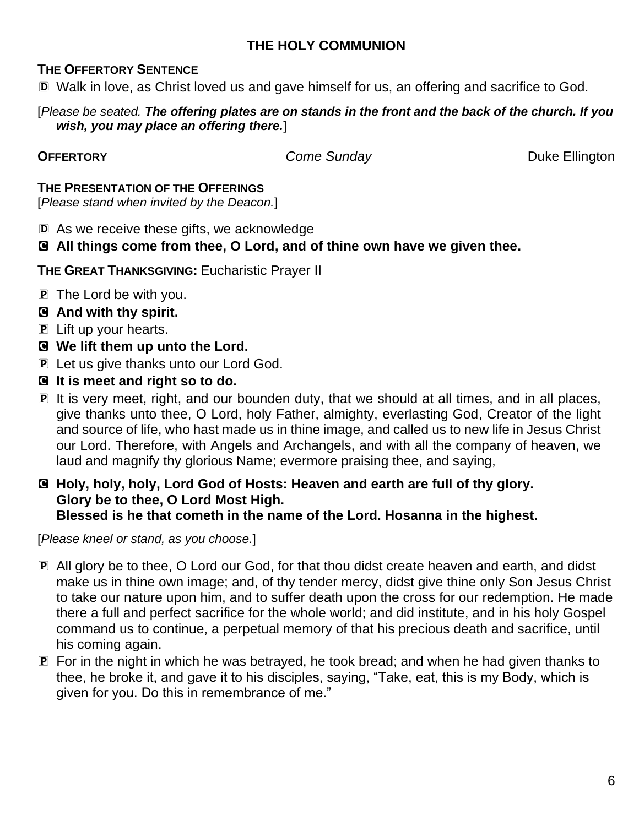### **THE HOLY COMMUNION**

#### **THE OFFERTORY SENTENCE**

D Walk in love, as Christ loved us and gave himself for us, an offering and sacrifice to God.

#### [*Please be seated. The offering plates are on stands in the front and the back of the church. If you wish, you may place an offering there.*]

**OFFERTORY Come Sunday Come Sunday Duke Ellington** 

#### **THE PRESENTATION OF THE OFFERINGS**

[*Please stand when invited by the Deacon.*]

D As we receive these gifts, we acknowledge

#### C **All things come from thee, O Lord, and of thine own have we given thee.**

**THE GREAT THANKSGIVING:** Eucharistic Prayer II

- P The Lord be with you.
- C **And with thy spirit.**
- P Lift up your hearts.
- C **We lift them up unto the Lord.**
- P Let us give thanks unto our Lord God.
- C **It is meet and right so to do.**
- P It is very meet, right, and our bounden duty, that we should at all times, and in all places, give thanks unto thee, O Lord, holy Father, almighty, everlasting God, Creator of the light and source of life, who hast made us in thine image, and called us to new life in Jesus Christ our Lord. Therefore, with Angels and Archangels, and with all the company of heaven, we laud and magnify thy glorious Name; evermore praising thee, and saying,

#### C **Holy, holy, holy, Lord God of Hosts: Heaven and earth are full of thy glory. Glory be to thee, O Lord Most High. Blessed is he that cometh in the name of the Lord. Hosanna in the highest.**

[*Please kneel or stand, as you choose.*]

- P All glory be to thee, O Lord our God, for that thou didst create heaven and earth, and didst make us in thine own image; and, of thy tender mercy, didst give thine only Son Jesus Christ to take our nature upon him, and to suffer death upon the cross for our redemption. He made there a full and perfect sacrifice for the whole world; and did institute, and in his holy Gospel command us to continue, a perpetual memory of that his precious death and sacrifice, until his coming again.
- P For in the night in which he was betrayed, he took bread; and when he had given thanks to thee, he broke it, and gave it to his disciples, saying, "Take, eat, this is my Body, which is given for you. Do this in remembrance of me."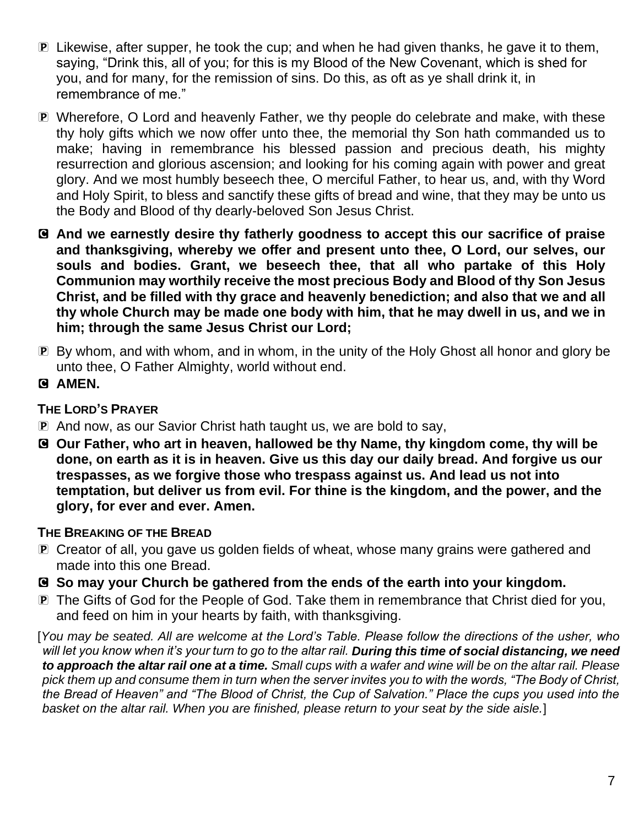- P Likewise, after supper, he took the cup; and when he had given thanks, he gave it to them, saying, "Drink this, all of you; for this is my Blood of the New Covenant, which is shed for you, and for many, for the remission of sins. Do this, as oft as ye shall drink it, in remembrance of me."
- P Wherefore, O Lord and heavenly Father, we thy people do celebrate and make, with these thy holy gifts which we now offer unto thee, the memorial thy Son hath commanded us to make; having in remembrance his blessed passion and precious death, his mighty resurrection and glorious ascension; and looking for his coming again with power and great glory. And we most humbly beseech thee, O merciful Father, to hear us, and, with thy Word and Holy Spirit, to bless and sanctify these gifts of bread and wine, that they may be unto us the Body and Blood of thy dearly-beloved Son Jesus Christ.
- C **And we earnestly desire thy fatherly goodness to accept this our sacrifice of praise and thanksgiving, whereby we offer and present unto thee, O Lord, our selves, our souls and bodies. Grant, we beseech thee, that all who partake of this Holy Communion may worthily receive the most precious Body and Blood of thy Son Jesus Christ, and be filled with thy grace and heavenly benediction; and also that we and all thy whole Church may be made one body with him, that he may dwell in us, and we in him; through the same Jesus Christ our Lord;**
- P By whom, and with whom, and in whom, in the unity of the Holy Ghost all honor and glory be unto thee, O Father Almighty, world without end.
- C **AMEN.**

### **THE LORD'S PRAYER**

- P And now, as our Savior Christ hath taught us, we are bold to say,
- C **Our Father, who art in heaven, hallowed be thy Name, thy kingdom come, thy will be done, on earth as it is in heaven. Give us this day our daily bread. And forgive us our trespasses, as we forgive those who trespass against us. And lead us not into temptation, but deliver us from evil. For thine is the kingdom, and the power, and the glory, for ever and ever. Amen.**

### **THE BREAKING OF THE BREAD**

- P Creator of all, you gave us golden fields of wheat, whose many grains were gathered and made into this one Bread.
- C **So may your Church be gathered from the ends of the earth into your kingdom.**
- P The Gifts of God for the People of God. Take them in remembrance that Christ died for you, and feed on him in your hearts by faith, with thanksgiving.

[*You may be seated. All are welcome at the Lord's Table. Please follow the directions of the usher, who will let you know when it's your turn to go to the altar rail. During this time of social distancing, we need to approach the altar rail one at a time. Small cups with a wafer and wine will be on the altar rail. Please pick them up and consume them in turn when the server invites you to with the words, "The Body of Christ, the Bread of Heaven" and "The Blood of Christ, the Cup of Salvation." Place the cups you used into the basket on the altar rail. When you are finished, please return to your seat by the side aisle.*]